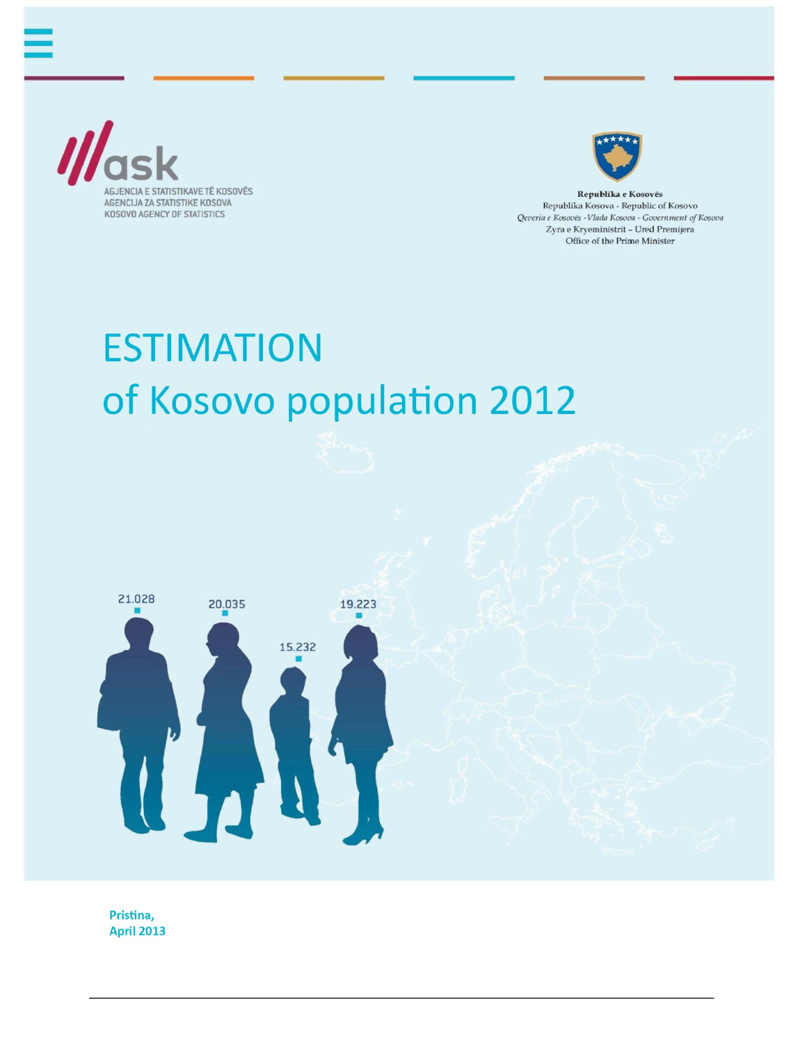



Republika e Kosovës Republika Kosova - Republic of Kosovo Qeveria e Kosovës -Vlada Kosova - Government of Kosova Zyra e Kryeministrit - Ured Premijera Office of the Prime Minister

# **ESTIMATION** of Kosovo population 2012



Pristina, **April 2013**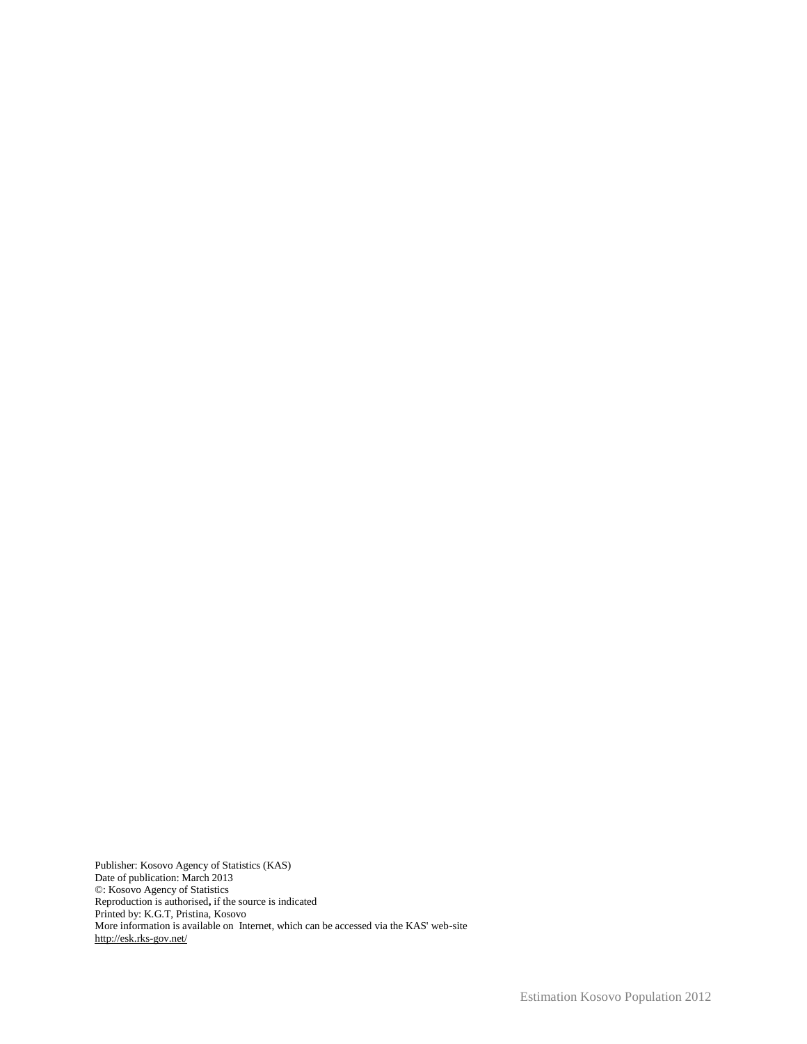Publisher: Kosovo Agency of Statistics (KAS) Date of publication: March 2013 ©: Kosovo Agency of Statistics Reproduction is authorised**,** if the source is indicated Printed by: K.G.T, Pristina, Kosovo More information is available on Internet, which can be accessed via the KAS' web-site http://esk.rks-gov.net/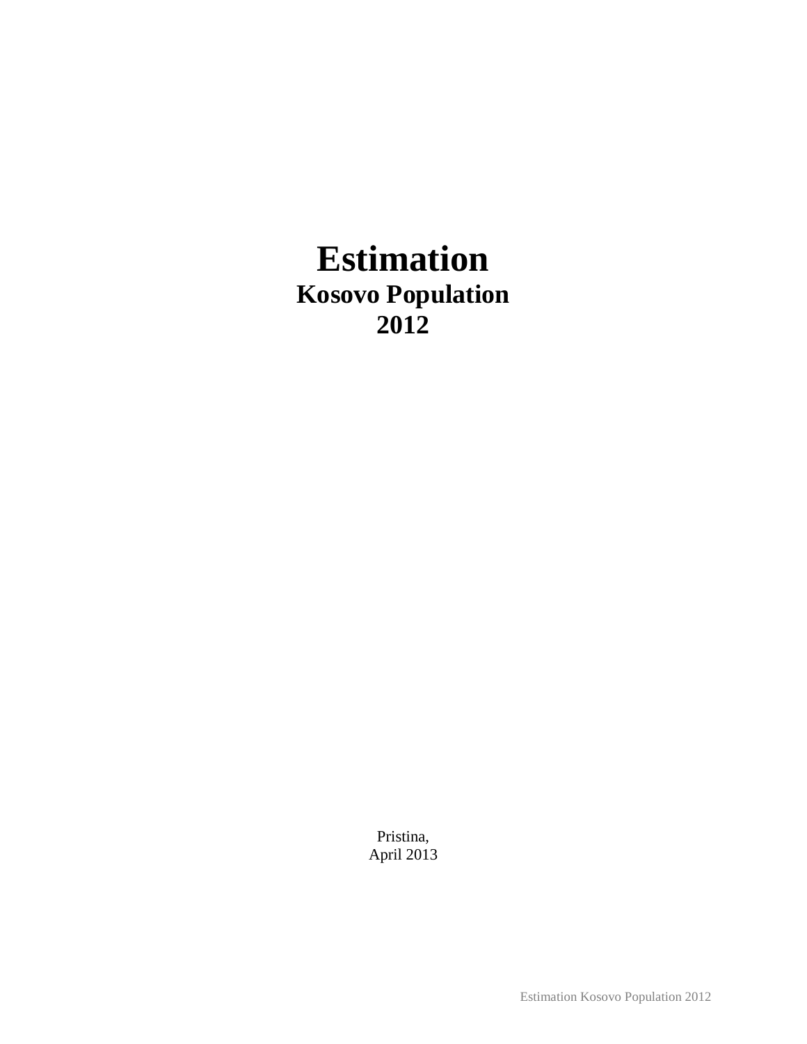## **Estimation Kosovo Population 2012**

Pristina, April 2013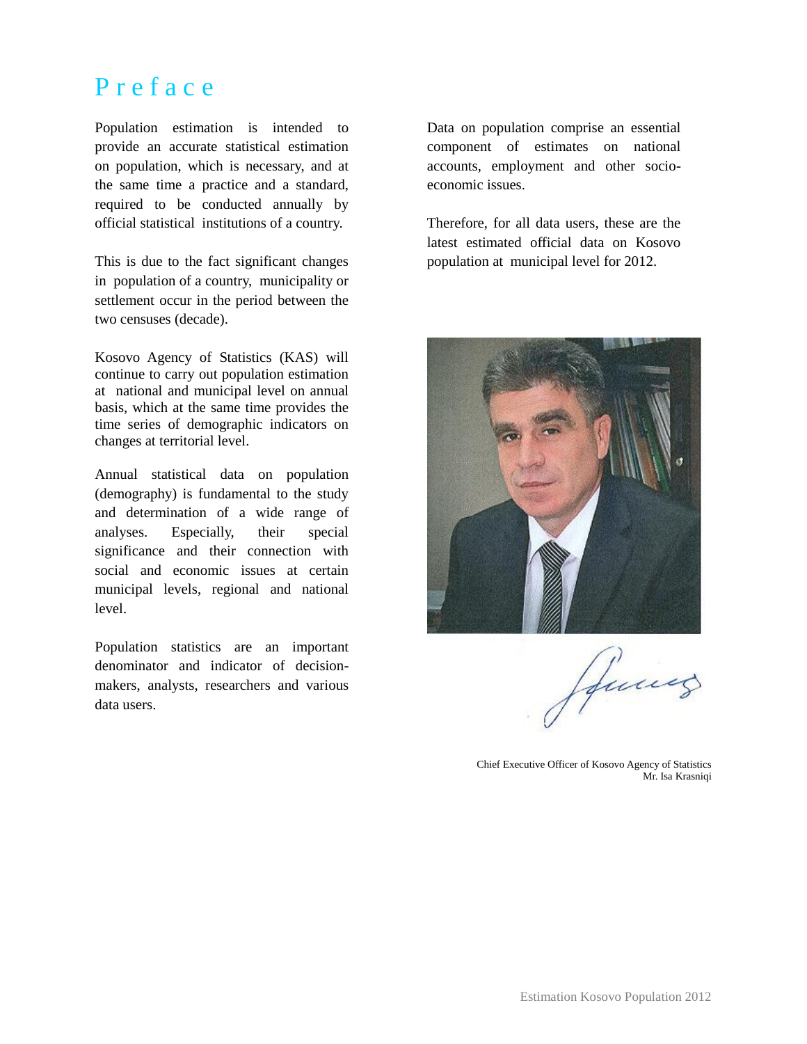### P r e f a c e

Population estimation is intended to provide an accurate statistical estimation on population, which is necessary, and at the same time a practice and a standard, required to be conducted annually by official statistical institutions of a country.

This is due to the fact significant changes in population of a country, municipality or settlement occur in the period between the two censuses (decade).

Kosovo Agency of Statistics (KAS) will continue to carry out population estimation at national and municipal level on annual basis, which at the same time provides the time series of demographic indicators on changes at territorial level.

Annual statistical data on population (demography) is fundamental to the study and determination of a wide range of analyses. Especially, their special significance and their connection with social and economic issues at certain municipal levels, regional and national level.

Population statistics are an important denominator and indicator of decisionmakers, analysts, researchers and various data users.

Data on population comprise an essential component of estimates on national accounts, employment and other socioeconomic issues.

Therefore, for all data users, these are the latest estimated official data on Kosovo population at municipal level for 2012.



fames

Chief Executive Officer of Kosovo Agency of Statistics Mr. Isa Krasniqi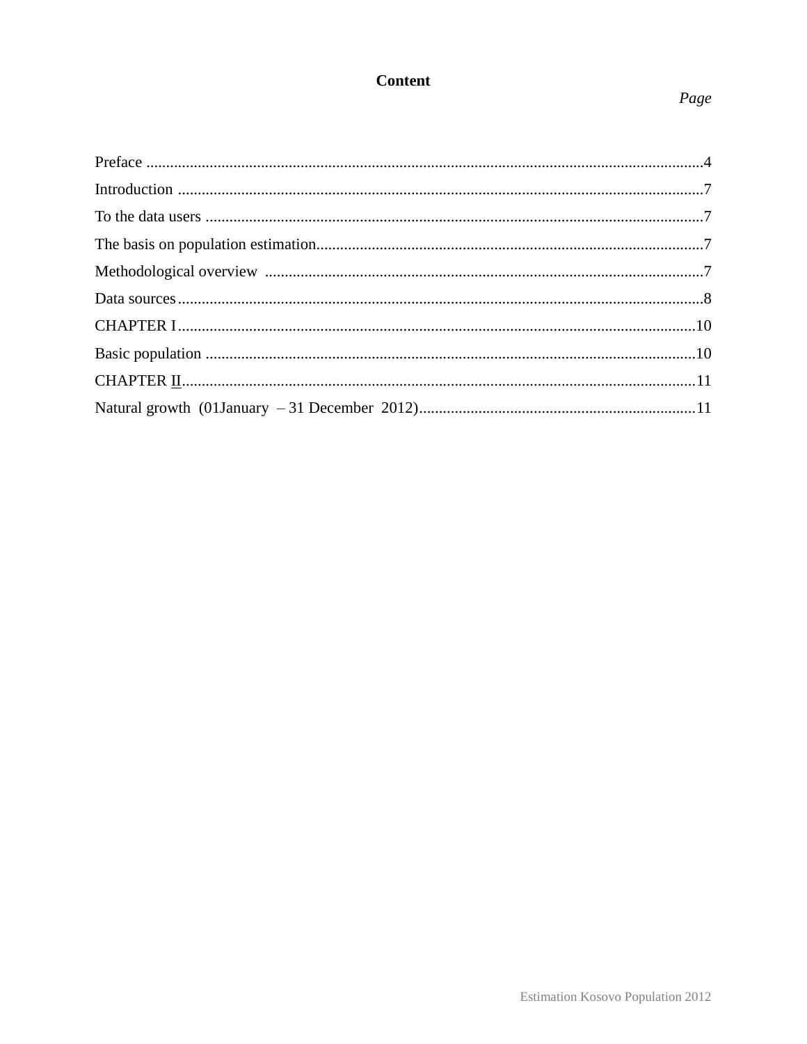#### **Content**

#### Page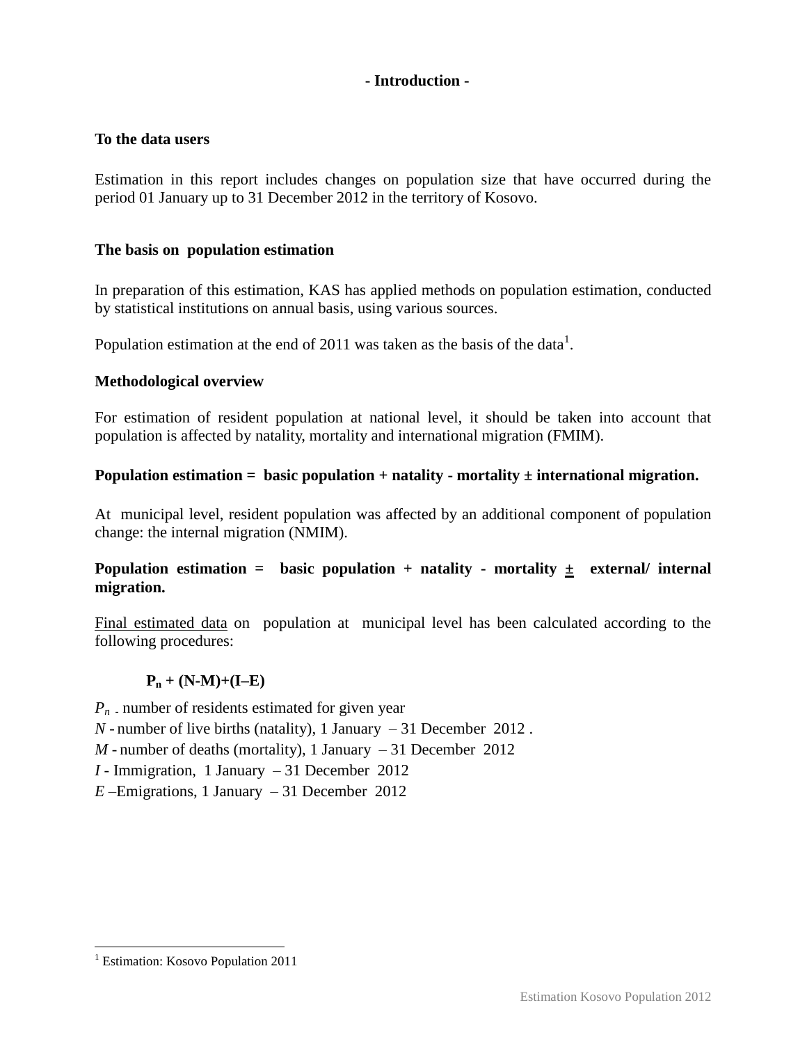#### **- Introduction -**

#### **To the data users**

Estimation in this report includes changes on population size that have occurred during the period 01 January up to 31 December 2012 in the territory of Kosovo.

#### **The basis on population estimation**

In preparation of this estimation, KAS has applied methods on population estimation, conducted by statistical institutions on annual basis, using various sources.

Population estimation at the end of 2011 was taken as the basis of the data<sup>1</sup>.

#### **Methodological overview**

For estimation of resident population at national level, it should be taken into account that population is affected by natality, mortality and international migration (FMIM).

#### **Population estimation = basic population + natality - mortality ± international migration.**

At municipal level, resident population was affected by an additional component of population change: the internal migration (NMIM).

#### **Population estimation = basic population + natality - mortality ± external/ internal migration.**

Final estimated data on population at municipal level has been calculated according to the following procedures:

#### $P_n + (N-M)+(I-E)$

*Pn -* number of residents estimated for given year

*N -* number of live births (natality), 1 January – 31 December 2012 .

*M -* number of deaths (mortality), 1 January – 31 December 2012

*I -* Immigration, 1 January – 31 December 2012

*E –*Emigrations, 1 January – 31 December 2012

 $\overline{a}$ <sup>1</sup> Estimation: Kosovo Population 2011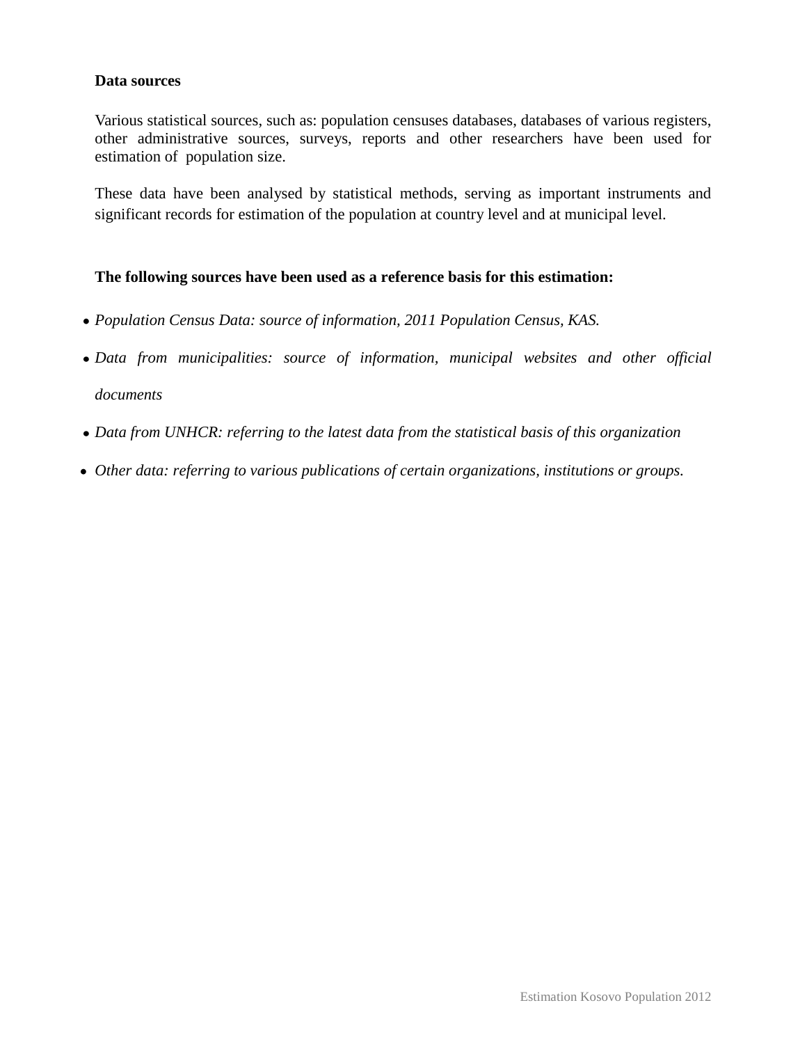#### **Data sources**

Various statistical sources, such as: population censuses databases, databases of various registers, other administrative sources, surveys, reports and other researchers have been used for estimation of population size.

These data have been analysed by statistical methods, serving as important instruments and significant records for estimation of the population at country level and at municipal level.

#### **The following sources have been used as a reference basis for this estimation:**

- *Population Census Data: source of information, 2011 Population Census, KAS.*
- *Data from municipalities: source of information, municipal websites and other official documents*
- *Data from UNHCR: referring to the latest data from the statistical basis of this organization*
- *Other data: referring to various publications of certain organizations, institutions or groups.*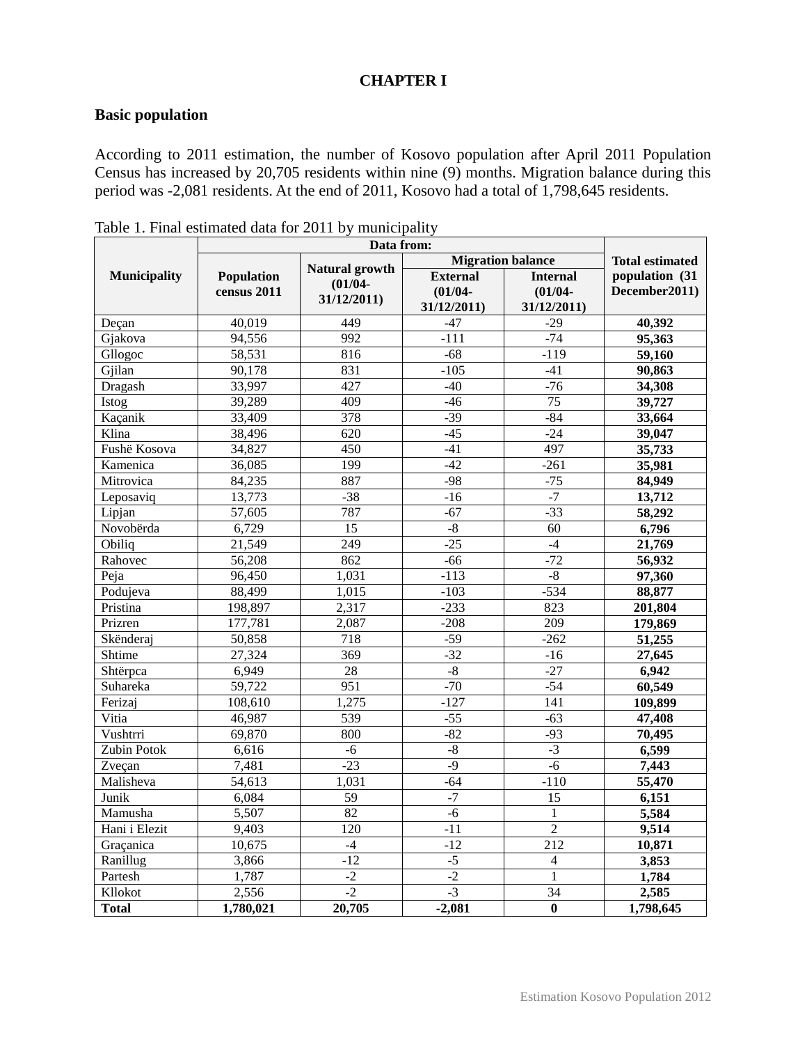#### **CHAPTER I**

#### **Basic population**

According to 2011 estimation, the number of Kosovo population after April 2011 Population Census has increased by 20,705 residents within nine (9) months. Migration balance during this period was -2,081 residents. At the end of 2011, Kosovo had a total of 1,798,645 residents.

|                     |             | Data from:                          | <b>Migration balance</b> | <b>Total estimated</b>  |                |
|---------------------|-------------|-------------------------------------|--------------------------|-------------------------|----------------|
| <b>Municipality</b> | Population  | <b>Natural growth</b><br>$(01/04 -$ | <b>External</b>          | <b>Internal</b>         | population (31 |
|                     | census 2011 | 31/12/2011)                         | $(01/04 -$               | $(01/04 -$              | December2011)  |
|                     |             |                                     | 31/12/2011               | 31/12/2011)             |                |
| Deçan               | 40,019      | 449                                 | $-47$                    | $-29$                   | 40,392         |
| Gjakova             | 94,556      | 992                                 | $-111$                   | $-74$                   | 95,363         |
| Gllogoc             | 58,531      | 816                                 | $-68$                    | $-119$                  | 59,160         |
| Gjilan              | 90,178      | 831                                 | $-105$                   | $-41$                   | 90,863         |
| Dragash             | 33,997      | 427                                 | $-40$                    | $-76$                   | 34,308         |
| Istog               | 39,289      | 409                                 | $-46$                    | $\overline{75}$         | 39,727         |
| Kaçanik             | 33,409      | 378                                 | $-39$                    | $-84$                   | 33,664         |
| Klina               | 38,496      | 620                                 | $-45$                    | $-24$                   | 39,047         |
| Fushë Kosova        | 34,827      | 450                                 | $-41$                    | 497                     | 35,733         |
| Kamenica            | 36,085      | 199                                 | $-42$                    | $-261$                  | 35,981         |
| Mitrovica           | 84,235      | 887                                 | $-98$                    | $-75$                   | 84,949         |
| Leposaviq           | 13,773      | $-38$                               | $-16$                    | $-7$                    | 13,712         |
| Lipjan              | 57,605      | 787                                 | $-67$                    | $-33$                   | 58,292         |
| Novobërda           | 6,729       | 15                                  | $-8$                     | 60                      | 6,796          |
| Obiliq              | 21,549      | $\overline{249}$                    | $-25$                    | $-4$                    | 21,769         |
| Rahovec             | 56,208      | 862                                 | $-66$                    | $-72$                   | 56,932         |
| Peja                | 96,450      | 1,031                               | $-113$                   | $-8$                    | 97,360         |
| Podujeva            | 88,499      | 1,015                               | $-103$                   | $-534$                  | 88,877         |
| Pristina            | 198,897     | 2,317                               | $-233$                   | 823                     | 201,804        |
| Prizren             | 177,781     | 2,087                               | $-208$                   | $\overline{209}$        | 179,869        |
| Skënderaj           | 50,858      | 718                                 | $-59$                    | $-262$                  | 51,255         |
| Shtime              | 27,324      | 369                                 | $-32$                    | $-16$                   | 27,645         |
| Shtërpca            | 6,949       | 28                                  | $-8$                     | $-27$                   | 6,942          |
| Suhareka            | 59,722      | 951                                 | $-70$                    | $-54$                   | 60,549         |
| Ferizaj             | 108,610     | 1,275                               | $-127$                   | 141                     | 109,899        |
| Vitia               | 46,987      | 539                                 | $-55$                    | $-63$                   | 47,408         |
| Vushtrri            | 69,870      | 800                                 | $-82$                    | $-93$                   | 70,495         |
| Zubin Potok         | 6,616       | $-6$                                | $-8$                     | $-3$                    | 6,599          |
| Zveçan              | 7,481       | $-23$                               | $-9$                     | $-6$                    | 7,443          |
| Malisheva           | 54,613      | 1,031                               | $-64$                    | $-110$                  | 55,470         |
| Junik               | 6,084       | $\overline{59}$                     | $-7$                     | 15                      | 6,151          |
| Mamusha             | 5,507       | 82                                  | $-6$                     | $\mathbf{1}$            | 5,584          |
| Hani i Elezit       | 9,403       | 120                                 | $-11$                    | $\overline{c}$          | 9,514          |
| Graçanica           | 10,675      | $-4$                                | $-12$                    | 212                     | 10,871         |
| Ranillug            | 3,866       | $-12$                               | $-5$                     | $\overline{\mathbf{4}}$ | 3,853          |
| Partesh             | 1,787       | $-2$                                | $-2$                     | $\mathbf{1}$            | 1,784          |
| Kllokot             | 2,556       | $-2$                                | $-3$                     | 34                      | 2,585          |
| <b>Total</b>        | 1,780,021   | 20,705                              | $-2,081$                 | $\bf{0}$                | 1,798,645      |

Table 1. Final estimated data for 2011 by municipality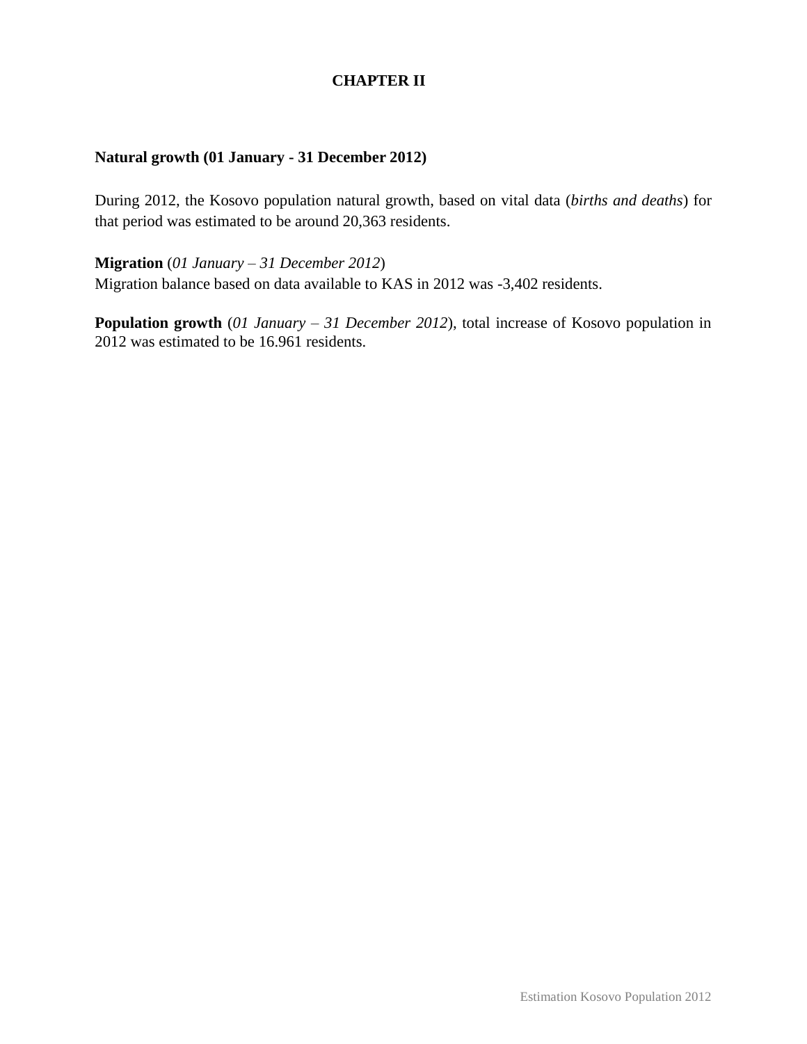#### **CHAPTER II**

#### **Natural growth (01 January - 31 December 2012)**

During 2012, the Kosovo population natural growth, based on vital data (*births and deaths*) for that period was estimated to be around 20,363 residents.

**Migration** (*01 January – 31 December 2012*) Migration balance based on data available to KAS in 2012 was -3,402 residents.

**Population growth** (*01 January – 31 December 2012*), total increase of Kosovo population in 2012 was estimated to be 16.961 residents.